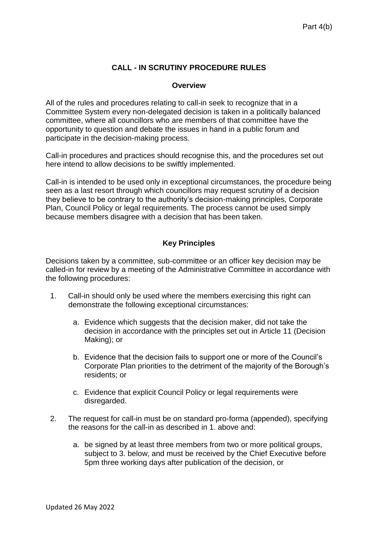## **CALL - IN SCRUTINY PROCEDURE RULES**

## **Overview**

All of the rules and procedures relating to call-in seek to recognize that in a Committee System every non-delegated decision is taken in a politically balanced committee, where all councillors who are members of that committee have the opportunity to question and debate the issues in hand in a public forum and participate in the decision-making process.

Call-in procedures and practices should recognise this, and the procedures set out here intend to allow decisions to be swiftly implemented.

Call-in is intended to be used only in exceptional circumstances, the procedure being seen as a last resort through which councillors may request scrutiny of a decision they believe to be contrary to the authority's decision-making principles, Corporate Plan, Council Policy or legal requirements. The process cannot be used simply because members disagree with a decision that has been taken.

## **Key Principles**

Decisions taken by a committee, sub-committee or an officer key decision may be called-in for review by a meeting of the Administrative Committee in accordance with the following procedures:

- 1. Call-in should only be used where the members exercising this right can demonstrate the following exceptional circumstances:
	- a. Evidence which suggests that the decision maker, did not take the decision in accordance with the principles set out in Article 11 (Decision Making); or
	- b. Evidence that the decision fails to support one or more of the Council's Corporate Plan priorities to the detriment of the majority of the Borough's residents; or
	- c. Evidence that explicit Council Policy or legal requirements were disregarded.
- 2. The request for call-in must be on standard pro-forma (appended), specifying the reasons for the call-in as described in 1. above and:
	- a. be signed by at least three members from two or more political groups, subject to 3. below, and must be received by the Chief Executive before 5pm three working days after publication of the decision, or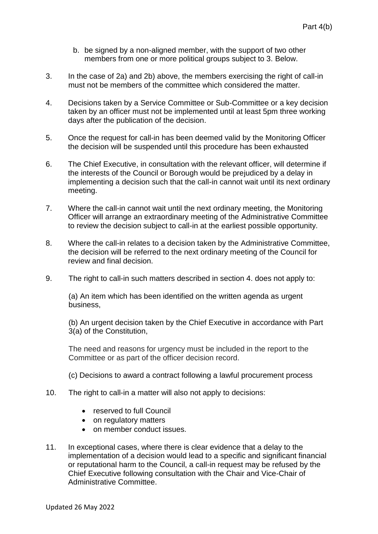- b. be signed by a non-aligned member, with the support of two other members from one or more political groups subject to 3. Below.
- 3. In the case of 2a) and 2b) above, the members exercising the right of call-in must not be members of the committee which considered the matter.
- 4. Decisions taken by a Service Committee or Sub-Committee or a key decision taken by an officer must not be implemented until at least 5pm three working days after the publication of the decision.
- 5. Once the request for call-in has been deemed valid by the Monitoring Officer the decision will be suspended until this procedure has been exhausted
- 6. The Chief Executive, in consultation with the relevant officer, will determine if the interests of the Council or Borough would be prejudiced by a delay in implementing a decision such that the call-in cannot wait until its next ordinary meeting.
- 7. Where the call-in cannot wait until the next ordinary meeting, the Monitoring Officer will arrange an extraordinary meeting of the Administrative Committee to review the decision subject to call-in at the earliest possible opportunity.
- 8. Where the call-in relates to a decision taken by the Administrative Committee, the decision will be referred to the next ordinary meeting of the Council for review and final decision.
- 9. The right to call-in such matters described in section 4. does not apply to:

(a) An item which has been identified on the written agenda as urgent business,

(b) An urgent decision taken by the Chief Executive in accordance with Part 3(a) of the Constitution,

The need and reasons for urgency must be included in the report to the Committee or as part of the officer decision record.

(c) Decisions to award a contract following a lawful procurement process

- 10. The right to call-in a matter will also not apply to decisions:
	- reserved to full Council
	- on regulatory matters
	- on member conduct issues.
- 11. In exceptional cases, where there is clear evidence that a delay to the implementation of a decision would lead to a specific and significant financial or reputational harm to the Council, a call-in request may be refused by the Chief Executive following consultation with the Chair and Vice-Chair of Administrative Committee.